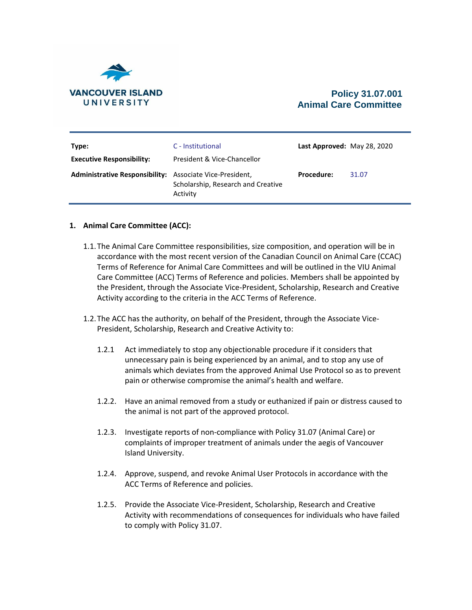

# **Policy 31.07.001 Animal Care Committee**

| Type:<br><b>Executive Responsibility:</b>                       | C - Institutional<br>President & Vice-Chancellor | Last Approved: May 28, 2020 |       |
|-----------------------------------------------------------------|--------------------------------------------------|-----------------------------|-------|
| <b>Administrative Responsibility:</b> Associate Vice-President, | Scholarship, Research and Creative<br>Activity   | <b>Procedure:</b>           | 31.07 |

## **1. Animal Care Committee (ACC):**

- 1.1.The [Animal Care Committee](http://www.viu.ca/animalcare/theanimalcarecomm.asp) responsibilities, size composition, and operation will be in accordance with the most recent version of the Canadian Council on Animal Care (CCAC) Terms of Reference for Animal Care Committees and will be outlined in the VIU Animal Care Committee (ACC) Terms of Reference and policies. Members shall be appointed by the President, through the Associate Vice-President, Scholarship, Research and Creative Activity according to the criteria in the ACC Terms of Reference.
- 1.2.The ACC has the authority, on behalf of the President, through the Associate Vice-President, Scholarship, Research and Creative Activity to:
	- 1.2.1 Act immediately to stop any objectionable procedure if it considers that unnecessary pain is being experienced by an animal, and to stop any use of animals which deviates from the approved Animal Use Protocol so as to prevent pain or otherwise compromise the animal's health and welfare.
	- 1.2.2. Have an animal removed from a study or euthanized if pain or distress caused to the animal is not part of the approved protocol.
	- 1.2.3. Investigate reports of non-compliance with [Policy 31.07](https://isapp.viu.ca/PolicyProcedure/docshow.asp?doc_id=22736) (Animal Care) or complaints of improper treatment of animals under the aegis of Vancouver Island University.
	- 1.2.4. Approve, suspend, and revoke Animal User Protocols in accordance with the ACC Terms of Reference and policies.
	- 1.2.5. Provide the Associate Vice-President, Scholarship, Research and Creative Activity with recommendations of consequences for individuals who have failed to comply with Policy 31.07.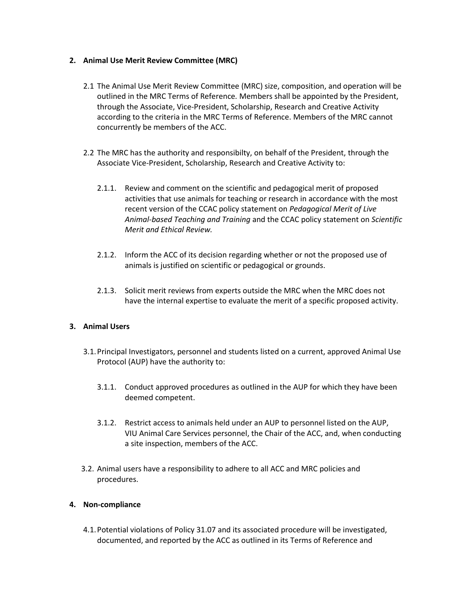## **2. Animal Use Merit Review Committee (MRC)**

- 2.1 The Animal Use Meri[t Review Committee](http://www.viu.ca/animalcare/theanimalcarecomm.asp) (MRC) size, composition, and operation will be outlined in the MRC Terms of Reference*.* Members shall be appointed by the President, through the Associate, Vice-President, Scholarship, Research and Creative Activity according to the criteria in the MRC Terms of Reference. Members of the MRC cannot concurrently be members of the ACC.
- 2.2 The MRC has the authority and responsibilty, on behalf of the President, through the Associate Vice-President, Scholarship, Research and Creative Activity to:
	- 2.1.1. Review and comment on the scientific and pedagogical merit of proposed activities that use animals for teaching or research in accordance with the most recent version of the CCAC policy statement on *Pedagogical Merit of Live Animal-based Teaching and Training* and the CCAC policy statement on *Scientific Merit and Ethical Review.*
	- 2.1.2. Inform the ACC of its decision regarding whether or not the proposed use of animals is justified on scientific or pedagogical or grounds.
	- 2.1.3. Solicit merit reviews from experts outside the MRC when the MRC does not have the internal expertise to evaluate the merit of a specific proposed activity.

## **3. Animal Users**

- 3.1.Principal Investigators, personnel and students listed on a current, approved Animal Use Protocol (AUP) have the authority to:
	- 3.1.1. Conduct approved procedures as outlined in the AUP for which they have been deemed competent.
	- 3.1.2. Restrict access to animals held under an AUP to personnel listed on the AUP, VIU Animal Care Services personnel, the Chair of the ACC, and, when conducting a site inspection, members of the ACC.
- 3.2. Animal users have a responsibility to adhere to all ACC and MRC policies and procedures.

## **4. Non-compliance**

4.1.Potential violations of Policy 31.07 and its associated procedure will be investigated, documented, and reported by the ACC as outlined in its Terms of Reference and